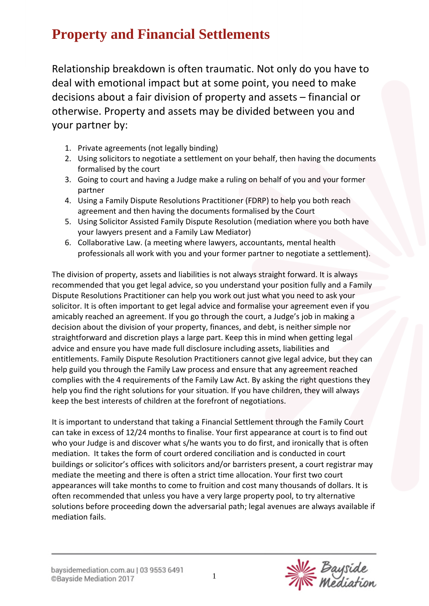# **Property and Financial Settlements**

Relationship breakdown is often traumatic. Not only do you have to deal with emotional impact but at some point, you need to make decisions about a fair division of property and assets – financial or otherwise. Property and assets may be divided between you and your partner by:

- 1. Private agreements (not legally binding)
- 2. Using solicitors to negotiate a settlement on your behalf, then having the documents formalised by the court
- 3. Going to court and having a Judge make a ruling on behalf of you and your former partner
- 4. Using a Family Dispute Resolutions Practitioner (FDRP) to help you both reach agreement and then having the documents formalised by the Court
- 5. Using Solicitor Assisted Family Dispute Resolution (mediation where you both have your lawyers present and a Family Law Mediator)
- 6. Collaborative Law. (a meeting where lawyers, accountants, mental health professionals all work with you and your former partner to negotiate a settlement).

The division of property, assets and liabilities is not always straight forward. It is always recommended that you get legal advice, so you understand your position fully and a Family Dispute Resolutions Practitioner can help you work out just what you need to ask your solicitor. It is often important to get legal advice and formalise your agreement even if you amicably reached an agreement. If you go through the court, a Judge's job in making a decision about the division of your property, finances, and debt, is neither simple nor straightforward and discretion plays a large part. Keep this in mind when getting legal advice and ensure you have made full disclosure including assets, liabilities and entitlements. Family Dispute Resolution Practitioners cannot give legal advice, but they can help guild you through the Family Law process and ensure that any agreement reached complies with the 4 requirements of the Family Law Act. By asking the right questions they help you find the right solutions for your situation. If you have children, they will always keep the best interests of children at the forefront of negotiations.

It is important to understand that taking a Financial Settlement through the Family Court can take in excess of 12/24 months to finalise. Your first appearance at court is to find out who your Judge is and discover what s/he wants you to do first, and ironically that is often mediation. It takes the form of court ordered conciliation and is conducted in court buildings or solicitor's offices with solicitors and/or barristers present, a court registrar may mediate the meeting and there is often a strict time allocation. Your first two court appearances will take months to come to fruition and cost many thousands of dollars. It is often recommended that unless you have a very large property pool, to try alternative solutions before proceeding down the adversarial path; legal avenues are always available if mediation fails.